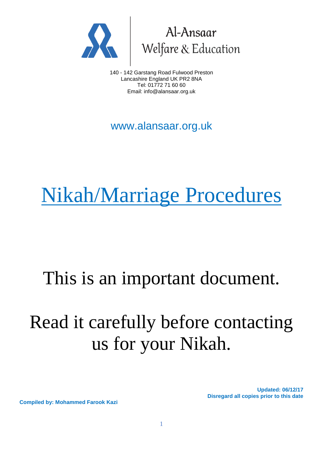



140 - 142 Garstang Road Fulwood Preston Lancashire England UK PR2 8NA Tel: 01772 71 60 60 Email: info@alansaar.org.uk

www.alansaar.org.uk

# Nikah/Marriage Procedures

### This is an important document.

## Read it carefully before contacting us for your Nikah.

**Updated: 06/12/17 Disregard all copies prior to this date**

**Compiled by: Mohammed Farook Kazi**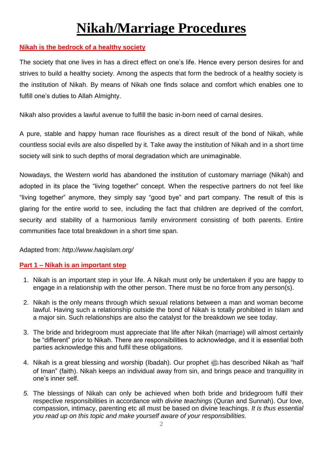### **Nikah/Marriage Procedures**

#### **Nikah is the bedrock of a healthy society**

The society that one lives in has a direct effect on one's life. Hence every person desires for and strives to build a healthy society. Among the aspects that form the bedrock of a healthy society is the institution of Nikah. By means of Nikah one finds solace and comfort which enables one to fulfill one's duties to Allah Almighty.

Nikah also provides a lawful avenue to fulfill the basic in-born need of carnal desires.

A pure, stable and happy human race flourishes as a direct result of the bond of Nikah, while countless social evils are also dispelled by it. Take away the institution of Nikah and in a short time society will sink to such depths of moral degradation which are unimaginable.

Nowadays, the Western world has abandoned the institution of customary marriage (Nikah) and adopted in its place the "living together" concept. When the respective partners do not feel like "living together" anymore, they simply say "good bye" and part company. The result of this is glaring for the entire world to see, including the fact that children are deprived of the comfort, security and stability of a harmonious family environment consisting of both parents. Entire communities face total breakdown in a short time span.

#### Adapted from: *http://www.haqislam.org/*

#### **Part 1 – Nikah is an important step**

- 1. Nikah is an important step in your life. A Nikah must only be undertaken if you are happy to engage in a relationship with the other person. There must be no force from any person(s).
- 2. Nikah is the only means through which sexual relations between a man and woman become lawful. Having such a relationship outside the bond of Nikah is totally prohibited in Islam and a major sin. Such relationships are also the catalyst for the breakdown we see today.
- 3. The bride and bridegroom must appreciate that life after Nikah (marriage) will almost certainly be "different" prior to Nikah. There are responsibilities to acknowledge, and it is essential both parties acknowledge this and fulfil these obligations.
- 4. Nikah is a great blessing and worship (Ibadah). Our prophet subsecribed Nikah as "half of Iman" (faith). Nikah keeps an individual away from sin, and brings peace and tranquillity in one's inner self.
- *5.* The blessings of Nikah can only be achieved when both bride and bridegroom fulfil their respective responsibilities in accordance with *divine teachings* (Quran and Sunnah). Our love, compassion, intimacy, parenting etc all must be based on divine teachings. *It is thus essential you read up on this topic and make yourself aware of your responsibilities.*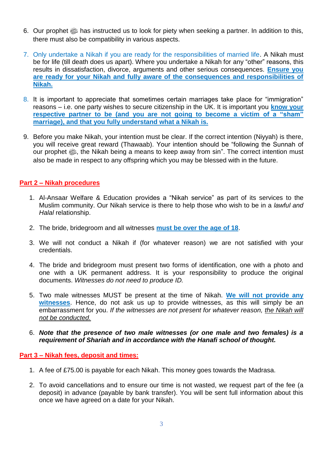- 6. Our prophet  $\ddot{\text{m}}$  has instructed us to look for piety when seeking a partner. In addition to this, there must also be compatibility in various aspects.
- 7. Only undertake a Nikah if you are ready for the responsibilities of married life. A Nikah must be for life (till death does us apart). Where you undertake a Nikah for any "other" reasons, this results in dissatisfaction, divorce, arguments and other serious consequences. **Ensure you are ready for your Nikah and fully aware of the consequences and responsibilities of Nikah.**
- 8. It is important to appreciate that sometimes certain marriages take place for "immigration" reasons – i.e. one party wishes to secure citizenship in the UK. It is important you **know your respective partner to be (and you are not going to become a victim of a "sham" marriage), and that you fully understand what a Nikah is.**
- 9. Before you make Nikah, your intention must be clear. If the correct intention (Niyyah) is there, you will receive great reward (Thawaab). Your intention should be "following the Sunnah of our prophet  $\ddot{\mathbb{Z}}$ , the Nikah being a means to keep away from sin". The correct intention must also be made in respect to any offspring which you may be blessed with in the future.

#### **Part 2 – Nikah procedures**

- 1. Al-Ansaar Welfare & Education provides a "Nikah service" as part of its services to the Muslim community. Our Nikah service is there to help those who wish to be in a *lawful and Halal* relationship.
- 2. The bride, bridegroom and all witnesses **must be over the age of 18**.
- 3. We will not conduct a Nikah if (for whatever reason) we are not satisfied with your credentials.
- 4. The bride and bridegroom must present two forms of identification, one with a photo and one with a UK permanent address. It is your responsibility to produce the original documents. *Witnesses do not need to produce ID.*
- 5. Two male witnesses MUST be present at the time of Nikah. **We will not provide any witnesses**. Hence, do not ask us up to provide witnesses, as this will simply be an embarrassment for you. *If the witnesses are not present for whatever reason, the Nikah will not be conducted.*
- 6. *Note that the presence of two male witnesses (or one male and two females) is a requirement of Shariah and in accordance with the Hanafi school of thought.*

#### **Part 3 – Nikah fees, deposit and times:**

- 1. A fee of £75.00 is payable for each Nikah. This money goes towards the Madrasa.
- 2. To avoid cancellations and to ensure our time is not wasted, we request part of the fee (a deposit) in advance (payable by bank transfer). You will be sent full information about this once we have agreed on a date for your Nikah.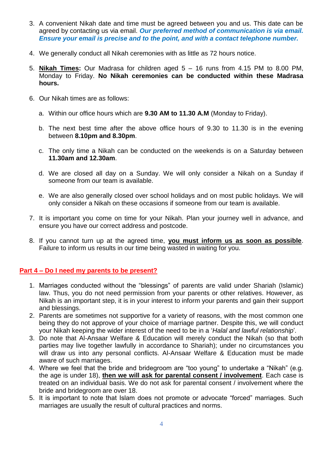- 3. A convenient Nikah date and time must be agreed between you and us. This date can be agreed by contacting us via email. *Our preferred method of communication is via email. Ensure your email is precise and to the point, and with a contact telephone number.*
- 4. We generally conduct all Nikah ceremonies with as little as 72 hours notice.
- 5. **Nikah Times:** Our Madrasa for children aged 5 16 runs from 4.15 PM to 8.00 PM, Monday to Friday. **No Nikah ceremonies can be conducted within these Madrasa hours.**
- 6. Our Nikah times are as follows:
	- a. Within our office hours which are **9.30 AM to 11.30 A.M** (Monday to Friday).
	- b. The next best time after the above office hours of 9.30 to 11.30 is in the evening between **8.10pm and 8.30pm**.
	- c. The only time a Nikah can be conducted on the weekends is on a Saturday between **11.30am and 12.30am**.
	- d. We are closed all day on a Sunday. We will only consider a Nikah on a Sunday if someone from our team is available.
	- e. We are also generally closed over school holidays and on most public holidays. We will only consider a Nikah on these occasions if someone from our team is available.
- 7. It is important you come on time for your Nikah. Plan your journey well in advance, and ensure you have our correct address and postcode.
- 8. If you cannot turn up at the agreed time, **you must inform us as soon as possible**. Failure to inform us results in our time being wasted in waiting for you.

#### **Part 4 – Do I need my parents to be present?**

- 1. Marriages conducted without the "blessings" of parents are valid under Shariah (Islamic) law. Thus, you do not need permission from your parents or other relatives. However, as Nikah is an important step, it is in your interest to inform your parents and gain their support and blessings.
- 2. Parents are sometimes not supportive for a variety of reasons, with the most common one being they do not approve of your choice of marriage partner. Despite this, we will conduct your Nikah keeping the wider interest of the need to be in a '*Halal and lawful relationship*'*.*
- 3. Do note that Al-Ansaar Welfare & Education will merely conduct the Nikah (so that both parties may live together lawfully in accordance to Shariah); under no circumstances you will draw us into any personal conflicts. Al-Ansaar Welfare & Education must be made aware of such marriages.
- 4. Where we feel that the bride and bridegroom are "too young" to undertake a "Nikah" (e.g. the age is under 18), **then we will ask for parental consent / involvement**. Each case is treated on an individual basis. We do not ask for parental consent / involvement where the bride and bridegroom are over 18.
- 5. It is important to note that Islam does not promote or advocate "forced" marriages. Such marriages are usually the result of cultural practices and norms.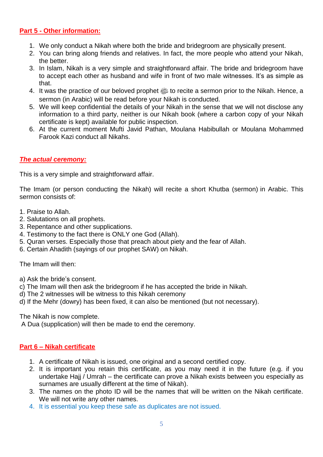#### **Part 5 - Other information:**

- 1. We only conduct a Nikah where both the bride and bridegroom are physically present.
- 2. You can bring along friends and relatives. In fact, the more people who attend your Nikah, the better.
- 3. In Islam, Nikah is a very simple and straightforward affair. The bride and bridegroom have to accept each other as husband and wife in front of two male witnesses. It's as simple as that.
- 4. It was the practice of our beloved prophet  $\frac{dy}{dx}$  to recite a sermon prior to the Nikah. Hence, a sermon (in Arabic) will be read before your Nikah is conducted.
- 5. We will keep confidential the details of your Nikah in the sense that we will not disclose any information to a third party, neither is our Nikah book (where a carbon copy of your Nikah certificate is kept) available for public inspection.
- 6. At the current moment Mufti Javid Pathan, Moulana Habibullah or Moulana Mohammed Farook Kazi conduct all Nikahs.

#### *The actual ceremony:*

This is a very simple and straightforward affair.

The Imam (or person conducting the Nikah) will recite a short Khutba (sermon) in Arabic. This sermon consists of:

- 1. Praise to Allah.
- 2. Salutations on all prophets.
- 3. Repentance and other supplications.
- 4. Testimony to the fact there is ONLY one God (Allah).
- 5. Quran verses. Especially those that preach about piety and the fear of Allah.
- 6. Certain Ahadith (sayings of our prophet SAW) on Nikah.

The Imam will then:

- a) Ask the bride's consent.
- c) The Imam will then ask the bridegroom if he has accepted the bride in Nikah.
- d) The 2 witnesses will be witness to this Nikah ceremony
- d) If the Mehr (dowry) has been fixed, it can also be mentioned (but not necessary).

The Nikah is now complete.

A Dua (supplication) will then be made to end the ceremony.

#### **Part 6 – Nikah certificate**

- 1. A certificate of Nikah is issued, one original and a second certified copy.
- 2. It is important you retain this certificate, as you may need it in the future (e.g. if you undertake Hajj / Umrah – the certificate can prove a Nikah exists between you especially as surnames are usually different at the time of Nikah).
- 3. The names on the photo ID will be the names that will be written on the Nikah certificate. We will not write any other names.
- 4. It is essential you keep these safe as duplicates are not issued.